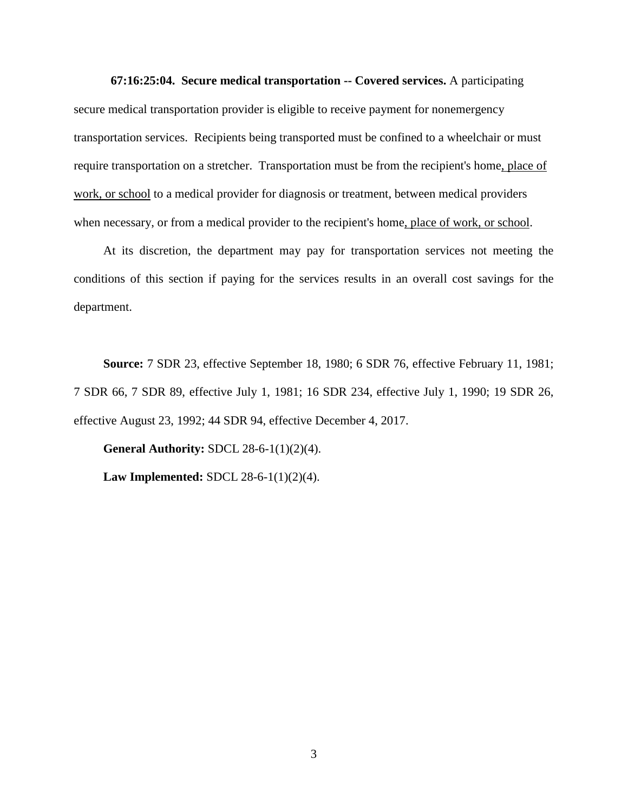**67:16:25:04. Secure medical transportation -- Covered services.** A participating secure medical transportation provider is eligible to receive payment for nonemergency transportation services. Recipients being transported must be confined to a wheelchair or must require transportation on a stretcher. Transportation must be from the recipient's home, place of work, or school to a medical provider for diagnosis or treatment, between medical providers when necessary, or from a medical provider to the recipient's home, place of work, or school.

At its discretion, the department may pay for transportation services not meeting the conditions of this section if paying for the services results in an overall cost savings for the department.

**Source:** 7 SDR 23, effective September 18, 1980; 6 SDR 76, effective February 11, 1981; 7 SDR 66, 7 SDR 89, effective July 1, 1981; 16 SDR 234, effective July 1, 1990; 19 SDR 26, effective August 23, 1992; 44 SDR 94, effective December 4, 2017.

**General Authority:** SDCL 28-6-1(1)(2)(4). **Law Implemented:** SDCL 28-6-1(1)(2)(4).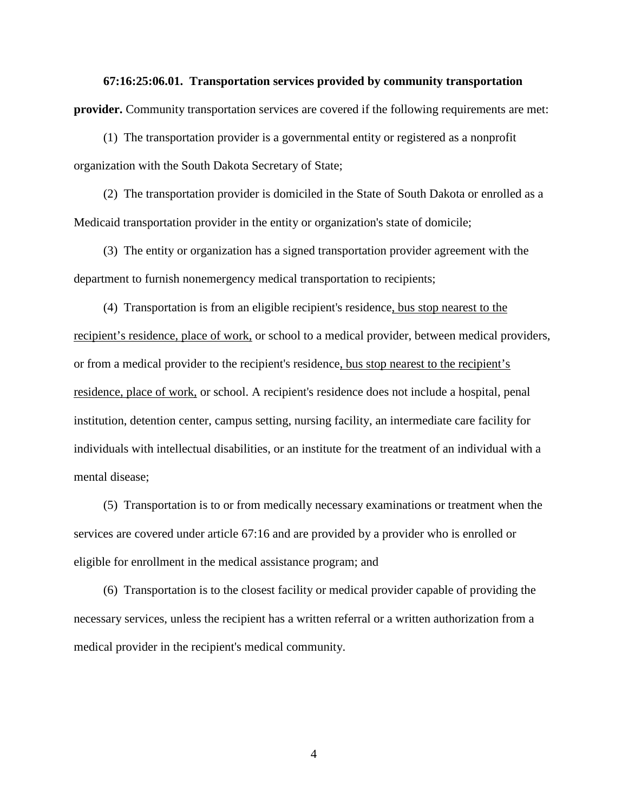**67:16:25:06.01. Transportation services provided by community transportation provider.** Community transportation services are covered if the following requirements are met:

(1) The transportation provider is a governmental entity or registered as a nonprofit organization with the South Dakota Secretary of State;

(2) The transportation provider is domiciled in the State of South Dakota or enrolled as a Medicaid transportation provider in the entity or organization's state of domicile;

(3) The entity or organization has a signed transportation provider agreement with the department to furnish nonemergency medical transportation to recipients;

(4) Transportation is from an eligible recipient's residence, bus stop nearest to the recipient's residence, place of work, or school to a medical provider, between medical providers, or from a medical provider to the recipient's residence, bus stop nearest to the recipient's residence, place of work, or school. A recipient's residence does not include a hospital, penal institution, detention center, campus setting, nursing facility, an intermediate care facility for individuals with intellectual disabilities, or an institute for the treatment of an individual with a mental disease;

(5) Transportation is to or from medically necessary examinations or treatment when the services are covered under article 67:16 and are provided by a provider who is enrolled or eligible for enrollment in the medical assistance program; and

(6) Transportation is to the closest facility or medical provider capable of providing the necessary services, unless the recipient has a written referral or a written authorization from a medical provider in the recipient's medical community.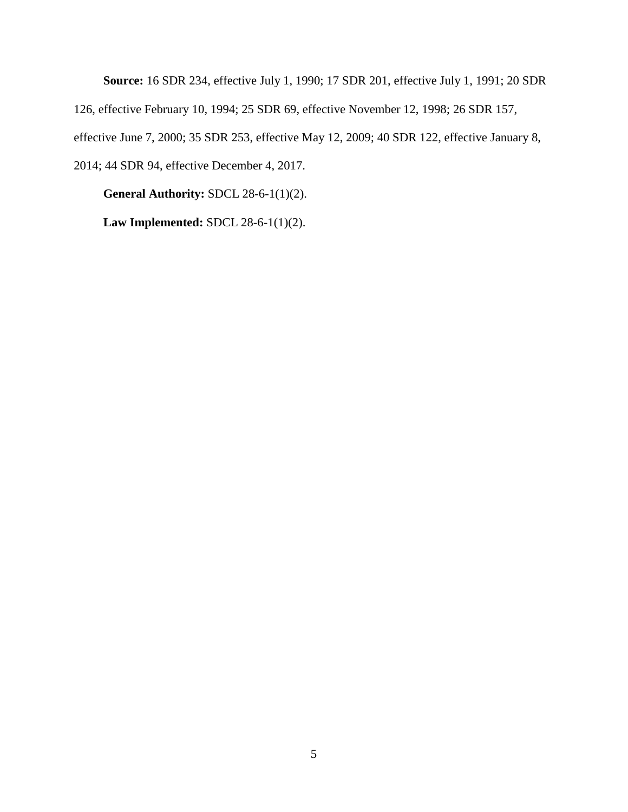**Source:** 16 SDR 234, effective July 1, 1990; 17 SDR 201, effective July 1, 1991; 20 SDR 126, effective February 10, 1994; 25 SDR 69, effective November 12, 1998; 26 SDR 157, effective June 7, 2000; 35 SDR 253, effective May 12, 2009; 40 SDR 122, effective January 8, 2014; 44 SDR 94, effective December 4, 2017.

**General Authority:** SDCL 28-6-1(1)(2).

**Law Implemented:** SDCL 28-6-1(1)(2).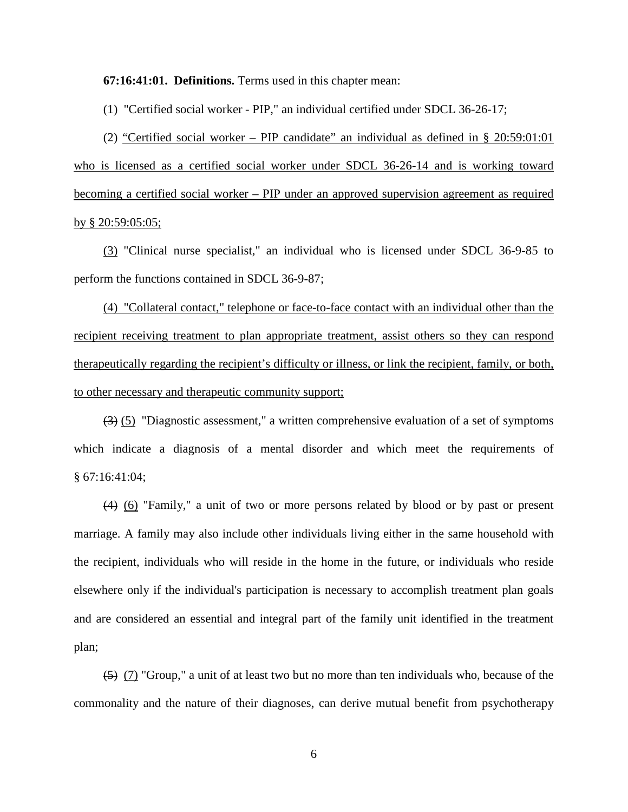**67:16:41:01. Definitions.** Terms used in this chapter mean:

(1) "Certified social worker - PIP," an individual certified under SDCL 36-26-17;

(2) "Certified social worker – PIP candidate" an individual as defined in § 20:59:01:01 who is licensed as a certified social worker under SDCL 36-26-14 and is working toward becoming a certified social worker – PIP under an approved supervision agreement as required by § 20:59:05:05;

(3) "Clinical nurse specialist," an individual who is licensed under SDCL 36-9-85 to perform the functions contained in SDCL 36-9-87;

(4) "Collateral contact," telephone or face-to-face contact with an individual other than the recipient receiving treatment to plan appropriate treatment, assist others so they can respond therapeutically regarding the recipient's difficulty or illness, or link the recipient, family, or both, to other necessary and therapeutic community support;

(3) (5) "Diagnostic assessment," a written comprehensive evaluation of a set of symptoms which indicate a diagnosis of a mental disorder and which meet the requirements of § 67:16:41:04;

(4) (6) "Family," a unit of two or more persons related by blood or by past or present marriage. A family may also include other individuals living either in the same household with the recipient, individuals who will reside in the home in the future, or individuals who reside elsewhere only if the individual's participation is necessary to accomplish treatment plan goals and are considered an essential and integral part of the family unit identified in the treatment plan;

(5) (7) "Group," a unit of at least two but no more than ten individuals who, because of the commonality and the nature of their diagnoses, can derive mutual benefit from psychotherapy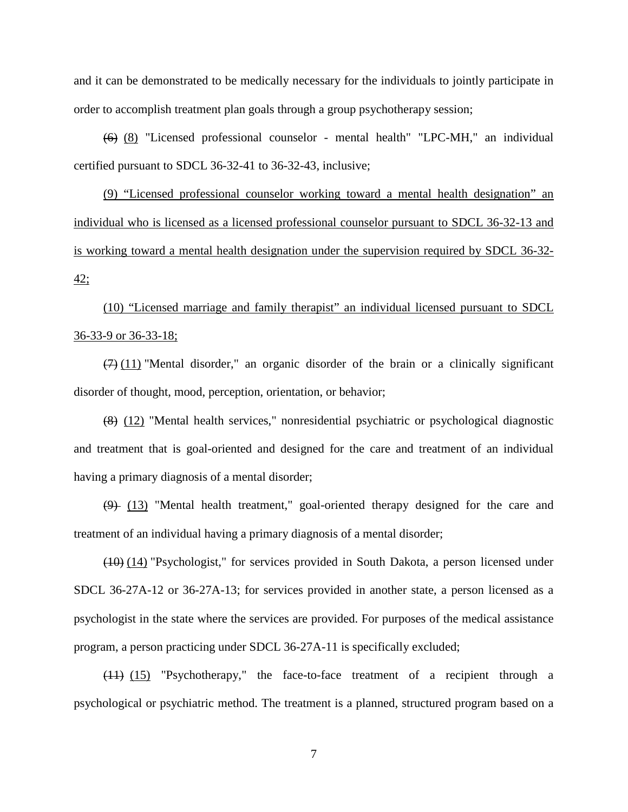and it can be demonstrated to be medically necessary for the individuals to jointly participate in order to accomplish treatment plan goals through a group psychotherapy session;

(6) (8) "Licensed professional counselor - mental health" "LPC-MH," an individual certified pursuant to SDCL 36-32-41 to 36-32-43, inclusive;

(9) "Licensed professional counselor working toward a mental health designation" an individual who is licensed as a licensed professional counselor pursuant to SDCL 36-32-13 and is working toward a mental health designation under the supervision required by SDCL 36-32- 42;

(10) "Licensed marriage and family therapist" an individual licensed pursuant to SDCL 36-33-9 or 36-33-18;

 $(7)$  (11) "Mental disorder," an organic disorder of the brain or a clinically significant disorder of thought, mood, perception, orientation, or behavior;

(8) (12) "Mental health services," nonresidential psychiatric or psychological diagnostic and treatment that is goal-oriented and designed for the care and treatment of an individual having a primary diagnosis of a mental disorder;

(9) (13) "Mental health treatment," goal-oriented therapy designed for the care and treatment of an individual having a primary diagnosis of a mental disorder;

 $(10)$  (14) "Psychologist," for services provided in South Dakota, a person licensed under SDCL 36-27A-12 or 36-27A-13; for services provided in another state, a person licensed as a psychologist in the state where the services are provided. For purposes of the medical assistance program, a person practicing under SDCL 36-27A-11 is specifically excluded;

(11) (15) "Psychotherapy," the face-to-face treatment of a recipient through a psychological or psychiatric method. The treatment is a planned, structured program based on a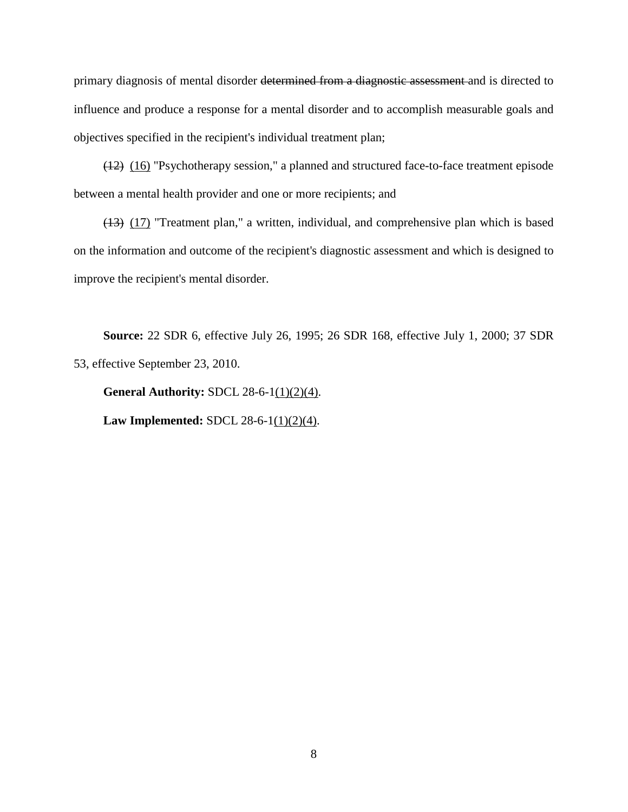primary diagnosis of mental disorder determined from a diagnostic assessment and is directed to influence and produce a response for a mental disorder and to accomplish measurable goals and objectives specified in the recipient's individual treatment plan;

(12) (16) "Psychotherapy session," a planned and structured face-to-face treatment episode between a mental health provider and one or more recipients; and

(13) (17) "Treatment plan," a written, individual, and comprehensive plan which is based on the information and outcome of the recipient's diagnostic assessment and which is designed to improve the recipient's mental disorder.

**Source:** 22 SDR 6, effective July 26, 1995; 26 SDR 168, effective July 1, 2000; 37 SDR 53, effective September 23, 2010.

**General Authority:** SDCL 28-6-1(1)(2)(4). **Law Implemented:** SDCL 28-6-1(1)(2)(4).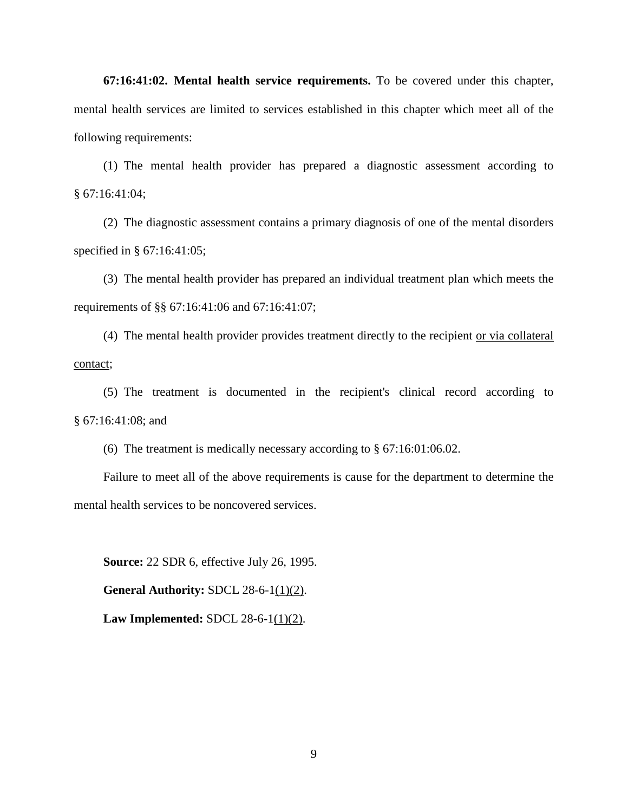**67:16:41:02. Mental health service requirements.** To be covered under this chapter, mental health services are limited to services established in this chapter which meet all of the following requirements:

(1) The mental health provider has prepared a diagnostic assessment according to § 67:16:41:04;

(2) The diagnostic assessment contains a primary diagnosis of one of the mental disorders specified in § 67:16:41:05;

(3) The mental health provider has prepared an individual treatment plan which meets the requirements of §§ 67:16:41:06 and 67:16:41:07;

(4) The mental health provider provides treatment directly to the recipient or via collateral contact;

(5) The treatment is documented in the recipient's clinical record according to § 67:16:41:08; and

(6) The treatment is medically necessary according to § 67:16:01:06.02.

Failure to meet all of the above requirements is cause for the department to determine the mental health services to be noncovered services.

**Source:** 22 SDR 6, effective July 26, 1995.

**General Authority:** SDCL 28-6-1(1)(2).

**Law Implemented:** SDCL 28-6-1(1)(2).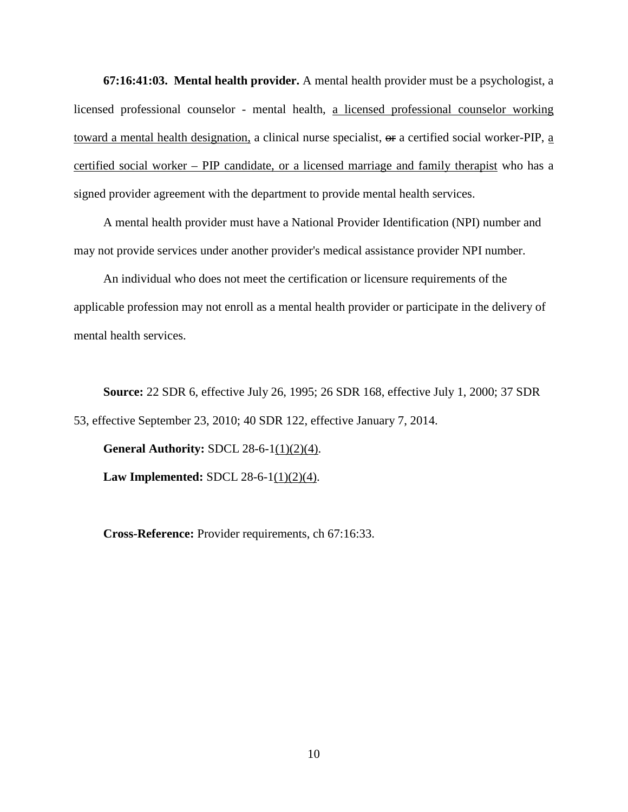**67:16:41:03. Mental health provider.** A mental health provider must be a psychologist, a licensed professional counselor - mental health, a licensed professional counselor working toward a mental health designation, a clinical nurse specialist,  $\Theta$  a certified social worker-PIP, a certified social worker – PIP candidate, or a licensed marriage and family therapist who has a signed provider agreement with the department to provide mental health services.

A mental health provider must have a National Provider Identification (NPI) number and may not provide services under another provider's medical assistance provider NPI number.

An individual who does not meet the certification or licensure requirements of the applicable profession may not enroll as a mental health provider or participate in the delivery of mental health services.

**Source:** 22 SDR 6, effective July 26, 1995; 26 SDR 168, effective July 1, 2000; 37 SDR 53, effective September 23, 2010; 40 SDR 122, effective January 7, 2014.

**General Authority:** SDCL 28-6-1(1)(2)(4). **Law Implemented:** SDCL 28-6-1(1)(2)(4).

**Cross-Reference:** Provider requirements, ch 67:16:33.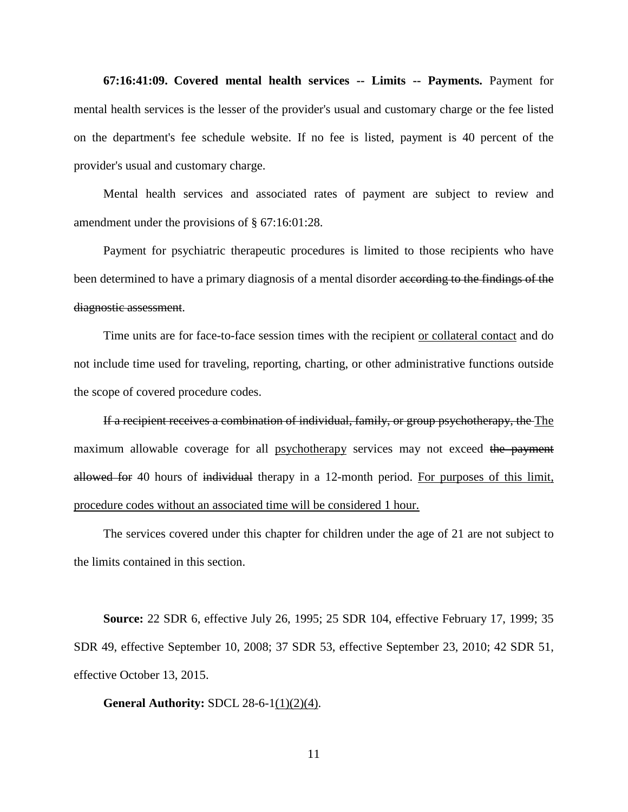**67:16:41:09. Covered mental health services -- Limits -- Payments.** Payment for mental health services is the lesser of the provider's usual and customary charge or the fee listed on the department's fee schedule website. If no fee is listed, payment is 40 percent of the provider's usual and customary charge.

Mental health services and associated rates of payment are subject to review and amendment under the provisions of § 67:16:01:28.

Payment for psychiatric therapeutic procedures is limited to those recipients who have been determined to have a primary diagnosis of a mental disorder according to the findings of the diagnostic assessment.

Time units are for face-to-face session times with the recipient or collateral contact and do not include time used for traveling, reporting, charting, or other administrative functions outside the scope of covered procedure codes.

If a recipient receives a combination of individual, family, or group psychotherapy, the The maximum allowable coverage for all psychotherapy services may not exceed the payment allowed for 40 hours of individual therapy in a 12-month period. For purposes of this limit, procedure codes without an associated time will be considered 1 hour.

The services covered under this chapter for children under the age of 21 are not subject to the limits contained in this section.

**Source:** 22 SDR 6, effective July 26, 1995; 25 SDR 104, effective February 17, 1999; 35 SDR 49, effective September 10, 2008; 37 SDR 53, effective September 23, 2010; 42 SDR 51, effective October 13, 2015.

## **General Authority:** SDCL 28-6-1(1)(2)(4).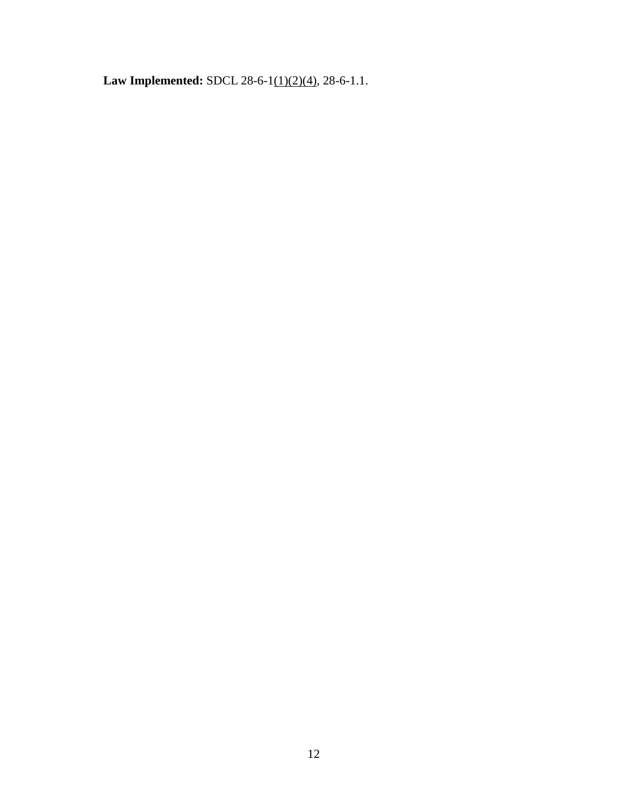Law Implemented: SDCL 28-6-1(1)(2)(4), 28-6-1.1.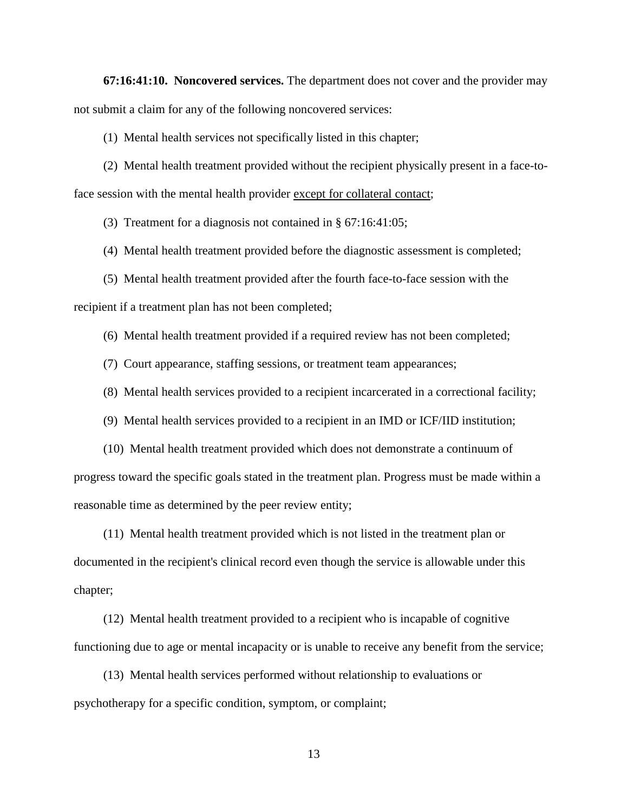**67:16:41:10. Noncovered services.** The department does not cover and the provider may not submit a claim for any of the following noncovered services:

(1) Mental health services not specifically listed in this chapter;

(2) Mental health treatment provided without the recipient physically present in a face-toface session with the mental health provider except for collateral contact;

(3) Treatment for a diagnosis not contained in § 67:16:41:05;

(4) Mental health treatment provided before the diagnostic assessment is completed;

(5) Mental health treatment provided after the fourth face-to-face session with the recipient if a treatment plan has not been completed;

(6) Mental health treatment provided if a required review has not been completed;

(7) Court appearance, staffing sessions, or treatment team appearances;

(8) Mental health services provided to a recipient incarcerated in a correctional facility;

(9) Mental health services provided to a recipient in an IMD or ICF/IID institution;

(10) Mental health treatment provided which does not demonstrate a continuum of progress toward the specific goals stated in the treatment plan. Progress must be made within a reasonable time as determined by the peer review entity;

(11) Mental health treatment provided which is not listed in the treatment plan or documented in the recipient's clinical record even though the service is allowable under this chapter;

(12) Mental health treatment provided to a recipient who is incapable of cognitive functioning due to age or mental incapacity or is unable to receive any benefit from the service;

(13) Mental health services performed without relationship to evaluations or psychotherapy for a specific condition, symptom, or complaint;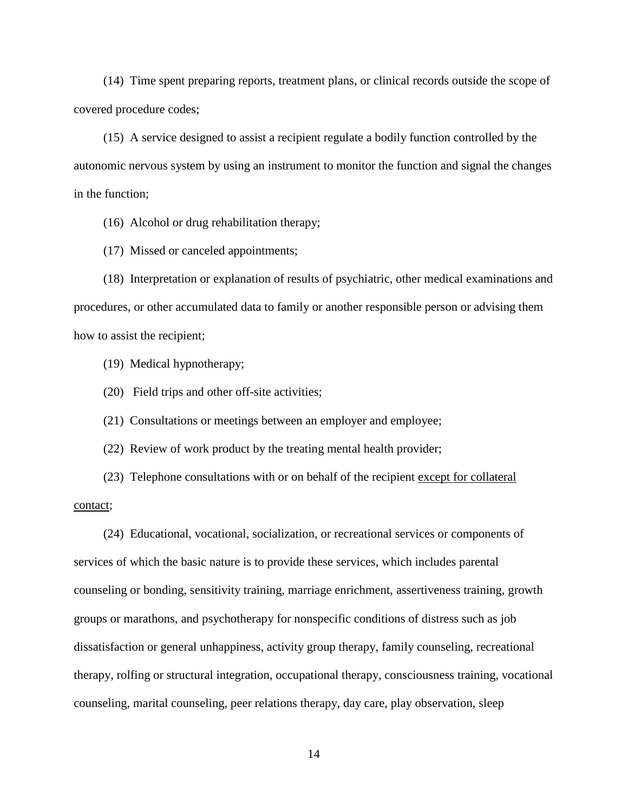(14) Time spent preparing reports, treatment plans, or clinical records outside the scope of covered procedure codes;

(15) A service designed to assist a recipient regulate a bodily function controlled by the autonomic nervous system by using an instrument to monitor the function and signal the changes in the function;

(16) Alcohol or drug rehabilitation therapy;

(17) Missed or canceled appointments;

(18) Interpretation or explanation of results of psychiatric, other medical examinations and procedures, or other accumulated data to family or another responsible person or advising them how to assist the recipient;

(19) Medical hypnotherapy;

(20) Field trips and other off-site activities;

(21) Consultations or meetings between an employer and employee;

(22) Review of work product by the treating mental health provider;

(23) Telephone consultations with or on behalf of the recipient except for collateral contact;

(24) Educational, vocational, socialization, or recreational services or components of services of which the basic nature is to provide these services, which includes parental counseling or bonding, sensitivity training, marriage enrichment, assertiveness training, growth groups or marathons, and psychotherapy for nonspecific conditions of distress such as job dissatisfaction or general unhappiness, activity group therapy, family counseling, recreational therapy, rolfing or structural integration, occupational therapy, consciousness training, vocational counseling, marital counseling, peer relations therapy, day care, play observation, sleep